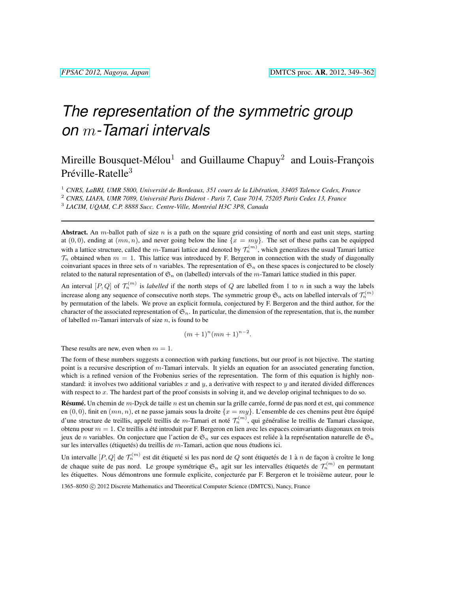# *The representation of the symmetric group on* m*-Tamari intervals*

## Mireille Bousquet-Mélou<sup>1</sup> and Guillaume Chapuy<sup>2</sup> and Louis-François Préville-Ratelle<sup>3</sup>

<sup>1</sup> CNRS, LaBRI, UMR 5800, Université de Bordeaux, 351 cours de la Libération, 33405 Talence Cedex, France

<sup>2</sup> *CNRS, LIAFA, UMR 7089, Universite Paris Diderot - Paris 7, Case 7014, 75205 Paris Cedex 13, France ´*

3 *LACIM, UQAM, C.P. 8888 Succ. Centre-Ville, Montreal H3C 3P8, Canada ´*

Abstract. An m-ballot path of size  $n$  is a path on the square grid consisting of north and east unit steps, starting at  $(0, 0)$ , ending at  $(mn, n)$ , and never going below the line  $\{x = my\}$ . The set of these paths can be equipped with a lattice structure, called the m-Tamari lattice and denoted by  $\mathcal{T}_n^{(m)}$ , which generalizes the usual Tamari lattice  $\mathcal{T}_n$  obtained when  $m = 1$ . This lattice was introduced by F. Bergeron in connection with the study of diagonally coinvariant spaces in three sets of n variables. The representation of  $\mathfrak{S}_n$  on these spaces is conjectured to be closely related to the natural representation of  $\mathfrak{S}_n$  on (labelled) intervals of the m-Tamari lattice studied in this paper.

An interval  $[P,Q]$  of  $\mathcal{T}_n^{(m)}$  is *labelled* if the north steps of Q are labelled from 1 to n in such a way the labels increase along any sequence of consecutive north steps. The symmetric group  $\mathfrak{S}_n$  acts on labelled intervals of  $\mathcal{T}_n^{(m)}$ by permutation of the labels. We prove an explicit formula, conjectured by F. Bergeron and the third author, for the character of the associated representation of  $\mathfrak{S}_n$ . In particular, the dimension of the representation, that is, the number of labelled  $m$ -Tamari intervals of size  $n$ , is found to be

 $(m+1)^n(mn+1)^{n-2}.$ 

These results are new, even when  $m = 1$ .

The form of these numbers suggests a connection with parking functions, but our proof is not bijective. The starting point is a recursive description of m-Tamari intervals. It yields an equation for an associated generating function, which is a refined version of the Frobenius series of the representation. The form of this equation is highly nonstandard: it involves two additional variables x and y, a derivative with respect to y and iterated divided differences with respect to  $x$ . The hardest part of the proof consists in solving it, and we develop original techniques to do so.

Résumé. Un chemin de  $m$ -Dyck de taille  $n$  est un chemin sur la grille carrée, formé de pas nord et est, qui commence en  $(0, 0)$ , finit en  $(mn, n)$ , et ne passe jamais sous la droite  $\{x = my\}$ . L'ensemble de ces chemins peut être équipé d'une structure de treillis, appelé treillis de m-Tamari et noté  $\mathcal{T}_n^{(m)}$ , qui généralise le treillis de Tamari classique, obtenu pour  $m = 1$ . Ce treillis a été introduit par F. Bergeron en lien avec les espaces coinvariants diagonaux en trois jeux de n variables. On conjecture que l'action de  $\mathfrak{S}_n$  sur ces espaces est reliée à la représentation naturelle de  $\mathfrak{S}_n$ sur les intervalles (étiquetés) du treillis de  $m$ -Tamari, action que nous étudions ici.

Un intervalle  $[P,Q]$  de  $\mathcal{T}_n^{(m)}$  est dit étiqueté si les pas nord de  $Q$  sont étiquetés de 1 à n de façon à croître le long de chaque suite de pas nord. Le groupe symétrique  $\mathfrak{S}_n$  agit sur les intervalles étiquetés de  $\mathcal{T}_n^{(m)}$  en permutant les étiquettes. Nous démontrons une formule explicite, conjecturée par F. Bergeron et le troisième auteur, pour le 1365–8050 © 2012 Discrete Mathematics and Theoretical Computer Science (DMTCS), Nancy, France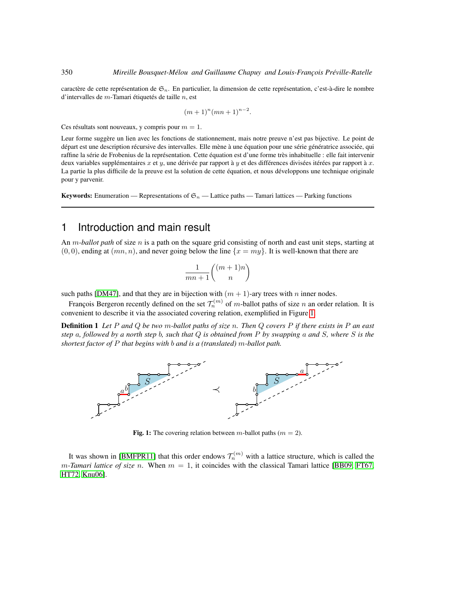caractère de cette représentation de  $\mathfrak{S}_n$ . En particulier, la dimension de cette représentation, c'est-à-dire le nombre d'intervalles de  $m$ -Tamari étiquetés de taille  $n$ , est

$$
(m+1)^n (mn+1)^{n-2}.
$$

Ces résultats sont nouveaux, y compris pour  $m = 1$ .

Leur forme suggère un lien avec les fonctions de stationnement, mais notre preuve n'est pas bijective. Le point de départ est une description récursive des intervalles. Elle mène à une équation pour une série génératrice associée, qui raffine la série de Frobenius de la représentation. Cette équation est d'une forme très inhabituelle : elle fait intervenir deux variables supplémentaires  $x$  et  $y$ , une dérivée par rapport à  $y$  et des différences divisées itérées par rapport à  $x$ . La partie la plus difficile de la preuve est la solution de cette équation, et nous développons une technique originale pour y parvenir.

**Keywords:** Enumeration — Representations of  $\mathfrak{S}_n$  — Lattice paths — Tamari lattices — Parking functions

### 1 Introduction and main result

An m*-ballot path* of size n is a path on the square grid consisting of north and east unit steps, starting at  $(0, 0)$ , ending at  $(mn, n)$ , and never going below the line  $\{x = my\}$ . It is well-known that there are

$$
\frac{1}{mn+1}\binom{(m+1)n}{n}
$$

such paths [\[DM47\]](#page-11-0), and that they are in bijection with  $(m + 1)$ -ary trees with n inner nodes.

François Bergeron recently defined on the set  $\mathcal{T}_n^{(m)}$  of m-ballot paths of size n an order relation. It is convenient to describe it via the associated covering relation, exemplified in Figure [1.](#page-1-0)

Definition 1 *Let* P *and* Q *be two* m*-ballot paths of size* n*. Then* Q *covers* P *if there exists in* P *an east step* a*, followed by a north step* b*, such that* Q *is obtained from* P *by swapping* a *and* S*, where* S *is the shortest factor of* P *that begins with* b *and is a (translated)* m*-ballot path.*



<span id="page-1-0"></span>Fig. 1: The covering relation between *m*-ballot paths ( $m = 2$ ).

It was shown in [\[BMFPR11\]](#page-11-1) that this order endows  $\mathcal{T}_n^{(m)}$  with a lattice structure, which is called the *m*-Tamari lattice of size n. When  $m = 1$ , it coincides with the classical Tamari lattice [\[BB09,](#page-11-2) [FT67,](#page-11-3) [HT72,](#page-12-0) [Knu06\]](#page-12-1).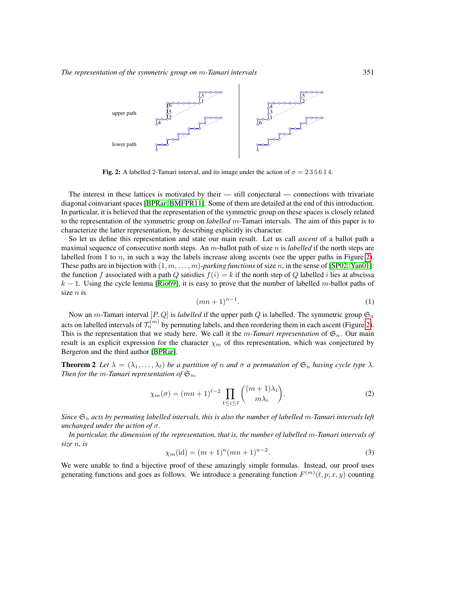

<span id="page-2-0"></span>Fig. 2: A labelled 2-Tamari interval, and its image under the action of  $\sigma = 235614$ .

The interest in these lattices is motivated by their — still conjectural — connections with trivariate diagonal coinvariant spaces [\[BPRar,](#page-11-4) [BMFPR11\]](#page-11-1). Some of them are detailed at the end of this introduction. In particular, it is believed that the representation of the symmetric group on these spaces is closely related to the representation of the symmetric group on *labelled* m-Tamari intervals. The aim of this paper is to characterize the latter representation, by describing explicitly its character.

So let us define this representation and state our main result. Let us call *ascent* of a ballot path a maximal sequence of consecutive north steps. An m-ballot path of size n is *labelled* if the north steps are labelled from 1 to  $n$ , in such a way the labels increase along ascents (see the upper paths in Figure [2\)](#page-2-0). These paths are in bijection with  $(1, m, \ldots, m)$ *-parking functions* of size n, in the sense of [\[SP02,](#page-12-2) [Yan01\]](#page-12-3): the function f associated with a path Q satisfies  $f(i) = k$  if the north step of Q labelled i lies at abscissa  $k - 1$ . Using the cycle lemma [\[Rio69\]](#page-12-4), it is easy to prove that the number of labelled m-ballot paths of size  $n$  is

$$
(mn+1)^{n-1}.\tag{1}
$$

<span id="page-2-1"></span>Now an m-Tamari interval  $[P,Q]$  is *labelled* if the upper path Q is labelled. The symmetric group  $\mathfrak{S}_n$ acts on labelled intervals of  $\mathcal{T}_n^{(m)}$  by permuting labels, and then reordering them in each ascent (Figure [2\)](#page-2-0). This is the representation that we study here. We call it the m-Tamari representation of  $\mathfrak{S}_n$ . Our main result is an explicit expression for the character  $\chi_m$  of this representation, which was conjectured by Bergeron and the third author [\[BPRar\]](#page-11-4).

<span id="page-2-3"></span>**Theorem 2** *Let*  $\lambda = (\lambda_1, \dots, \lambda_\ell)$  *be a partition of n and*  $\sigma$  *a permutation of*  $\mathfrak{S}_n$  *having cycle type*  $\lambda$ *. Then for the m-Tamari representation of*  $\mathfrak{S}_n$ *,* 

<span id="page-2-4"></span>
$$
\chi_m(\sigma) = (mn+1)^{\ell-2} \prod_{1 \le i \le \ell} \binom{(m+1)\lambda_i}{m\lambda_i}.
$$
 (2)

*Since*  $\mathfrak{S}_n$  *acts by permuting labelled intervals, this is also the number of labelled m-Tamari intervals left unchanged under the action of* σ*.*

<span id="page-2-2"></span>*In particular, the dimension of the representation, that is, the number of labelled* m*-Tamari intervals of size* n*, is*

$$
\chi_m(\text{id}) = (m+1)^n (mn+1)^{n-2}.
$$
\n(3)

We were unable to find a bijective proof of these amazingly simple formulas. Instead, our proof uses generating functions and goes as follows. We introduce a generating function  $F^{(m)}(t, p; x, y)$  counting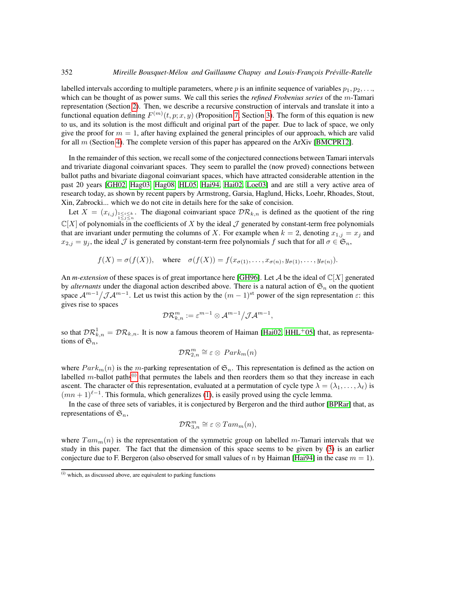labelled intervals according to multiple parameters, where p is an infinite sequence of variables  $p_1, p_2, \ldots$ which can be thought of as power sums. We call this series the *refined Frobenius series* of the m-Tamari representation (Section [2\)](#page-4-0). Then, we describe a recursive construction of intervals and translate it into a functional equation defining  $F^{(m)}(t, p; x, y)$  (Proposition [7,](#page-7-0) Section [3\)](#page-6-0). The form of this equation is new to us, and its solution is the most difficult and original part of the paper. Due to lack of space, we only give the proof for  $m = 1$ , after having explained the general principles of our approach, which are valid for all m (Section [4\)](#page-7-1). The complete version of this paper has appeared on the ArXiv [\[BMCPR12\]](#page-11-5).

In the remainder of this section, we recall some of the conjectured connections between Tamari intervals and trivariate diagonal coinvariant spaces. They seem to parallel the (now proved) connections between ballot paths and bivariate diagonal coinvariant spaces, which have attracted considerable attention in the past 20 years [\[GH02,](#page-11-6) [Hag03,](#page-11-7) [Hag08,](#page-11-8) [HL05,](#page-11-9) [Hai94,](#page-11-10) [Hai02,](#page-11-11) [Loe03\]](#page-12-5) and are still a very active area of research today, as shown by recent papers by Armstrong, Garsia, Haglund, Hicks, Loehr, Rhoades, Stout, Xin, Zabrocki... which we do not cite in details here for the sake of concision.

Let  $X = (x_{i,j})_{1 \le i \le k \atop 1 \le j \le n}$ . The diagonal coinvariant space  $\mathcal{DR}_{k,n}$  is defined as the quotient of the ring  $\mathbb{C}[X]$  of polynomials in the coefficients of X by the ideal J generated by constant-term free polynomials that are invariant under permuting the columns of X. For example when  $k = 2$ , denoting  $x_{1,j} = x_j$  and  $x_{2,j} = y_j$ , the ideal  $\mathcal J$  is generated by constant-term free polynomials  $f$  such that for all  $\sigma \in \mathfrak{S}_n$ ,

$$
f(X) = \sigma(f(X))
$$
, where  $\sigma(f(X)) = f(x_{\sigma(1)}, \ldots, x_{\sigma(n)}, y_{\sigma(1)}, \ldots, y_{\sigma(n)})$ .

An *m-extension* of these spaces is of great importance here [\[GH96\]](#page-11-12). Let A be the ideal of  $\mathbb{C}[X]$  generated by *alternants* under the diagonal action described above. There is a natural action of  $\mathfrak{S}_n$  on the quotient space  $\mathcal{A}^{m-1}/\mathcal{J}\mathcal{A}^{m-1}$ . Let us twist this action by the  $(m-1)$ <sup>st</sup> power of the sign representation  $\varepsilon$ : this gives rise to spaces

$$
\mathcal{DR}^m_{k,n}:=\varepsilon^{m-1}\otimes\mathcal{A}^{m-1}\big/\mathcal{JA}^{m-1},
$$

so that  $\mathcal{DR}_{k,n}^1 = \mathcal{DR}_{k,n}$ . It is now a famous theorem of Haiman [\[Hai02,](#page-11-11) [HHL](#page-11-13)+05] that, as representations of  $\mathfrak{S}_n$ ,

$$
\mathcal{DR}_{2,n}^m \cong \varepsilon \otimes \text{ Park}_m(n)
$$

where  $Park_m(n)$  is the m-parking representation of  $\mathfrak{S}_n$ . This representation is defined as the action on labelled  $m$ -ballot paths<sup>[\(i\)](#page-3-0)</sup> that permutes the labels and then reorders them so that they increase in each ascent. The character of this representation, evaluated at a permutation of cycle type  $\lambda = (\lambda_1, \dots, \lambda_\ell)$  is  $(mn + 1)^{\ell-1}$ . This formula, which generalizes [\(1\)](#page-2-1), is easily proved using the cycle lemma.

In the case of three sets of variables, it is conjectured by Bergeron and the third author [\[BPRar\]](#page-11-4) that, as representations of  $\mathfrak{S}_n$ ,

$$
\mathcal{DR}_{3,n}^m \cong \varepsilon \otimes Tam_m(n),
$$

where  $Tam_m(n)$  is the representation of the symmetric group on labelled m-Tamari intervals that we study in this paper. The fact that the dimension of this space seems to be given by [\(3\)](#page-2-2) is an earlier conjecture due to F. Bergeron (also observed for small values of n by Haiman [\[Hai94\]](#page-11-10) in the case  $m = 1$ ).

<span id="page-3-0"></span> $(i)$  which, as discussed above, are equivalent to parking functions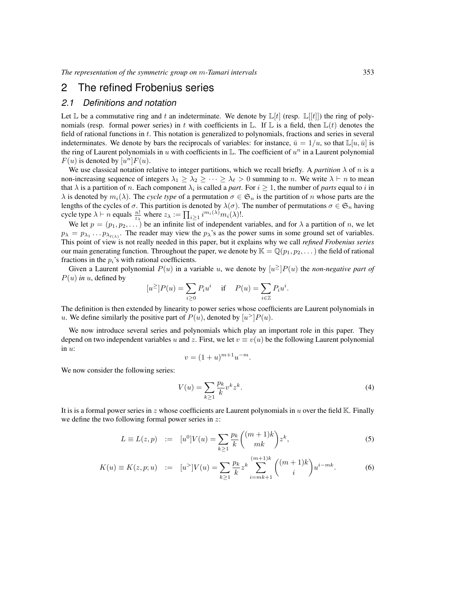### <span id="page-4-0"></span>2 The refined Frobenius series

#### <span id="page-4-3"></span>*2.1 Definitions and notation*

Let  $\mathbb L$  be a commutative ring and t an indeterminate. We denote by  $\mathbb L[t]$  (resp.  $\mathbb L[[t]])$  the ring of polynomials (resp. formal power series) in t with coefficients in  $\mathbb{L}$ . If  $\mathbb{L}$  is a field, then  $\mathbb{L}(t)$  denotes the field of rational functions in t. This notation is generalized to polynomials, fractions and series in several indeterminates. We denote by bars the reciprocals of variables: for instance,  $\bar{u} = 1/u$ , so that  $\mathbb{L}[u, \bar{u}]$  is the ring of Laurent polynomials in u with coefficients in L. The coefficient of  $u^n$  in a Laurent polynomial  $F(u)$  is denoted by  $[u^n]F(u)$ .

We use classical notation relative to integer partitions, which we recall briefly. A *partition*  $\lambda$  of n is a non-increasing sequence of integers  $\lambda_1 \geq \lambda_2 \geq \cdots \geq \lambda_\ell > 0$  summing to n. We write  $\lambda \vdash n$  to mean that  $\lambda$  is a partition of *n*. Each component  $\lambda_i$  is called a *part*. For  $i \ge 1$ , the number of *parts* equal to *i* in  $\lambda$  is denoted by  $m_i(\lambda)$ . The *cycle type* of a permutation  $\sigma \in \mathfrak{S}_n$  is the partition of n whose parts are the lengths of the cycles of  $\sigma$ . This partition is denoted by  $\lambda(\sigma)$ . The number of permutations  $\sigma \in \mathfrak{S}_n$  having cycle type  $\lambda \vdash n$  equals  $\frac{n!}{z_{\lambda}}$  where  $z_{\lambda} := \prod_{i \geq 1} i^{m_i(\lambda)} m_i(\lambda)!$ .

We let  $p = (p_1, p_2, \dots)$  be an infinite list of independent variables, and for  $\lambda$  a partition of n, we let  $p_{\lambda} = p_{\lambda_1} \dots p_{\lambda_{\ell(\lambda)}}$ . The reader may view the  $p_{\lambda}$ 's as the power sums in some ground set of variables. This point of view is not really needed in this paper, but it explains why we call *refined Frobenius series* our main generating function. Throughout the paper, we denote by  $\mathbb{K} = \mathbb{Q}(p_1, p_2, \dots)$  the field of rational fractions in the  $p_i$ 's with rational coefficients.

Given a Laurent polynomial  $P(u)$  in a variable u, we denote by  $[u^{\geq}]P(u)$  the *non-negative part of*  $P(u)$  *in* u, defined by

$$
[u^{\geq}]P(u) = \sum_{i \geq 0} P_i u^i \quad \text{ if } \quad P(u) = \sum_{i \in \mathbb{Z}} P_i u^i.
$$

The definition is then extended by linearity to power series whose coefficients are Laurent polynomials in u. We define similarly the positive part of  $P(u)$ , denoted by  $[u^>]P(u)$ .

We now introduce several series and polynomials which play an important role in this paper. They depend on two independent variables u and z. First, we let  $v \equiv v(u)$  be the following Laurent polynomial in  $u$ :

$$
v = (1+u)^{m+1}u^{-m}.
$$

We now consider the following series:

<span id="page-4-2"></span>
$$
V(u) = \sum_{k\geq 1} \frac{p_k}{k} v^k z^k.
$$
\n<sup>(4)</sup>

It is is a formal power series in z whose coefficients are Laurent polynomials in u over the field K. Finally we define the two following formal power series in  $z$ :

<span id="page-4-1"></span>
$$
L \equiv L(z, p) := [u^0]V(u) = \sum_{k \ge 1} \frac{p_k}{k} {m_k + 1 \choose mk} z^k,
$$
 (5)

$$
K(u) \equiv K(z, p; u) := [u^>]V(u) = \sum_{k \ge 1} \frac{p_k}{k} z^k \sum_{i=mk+1}^{(m+1)k} \binom{(m+1)k}{i} u^{i-mk}.
$$
 (6)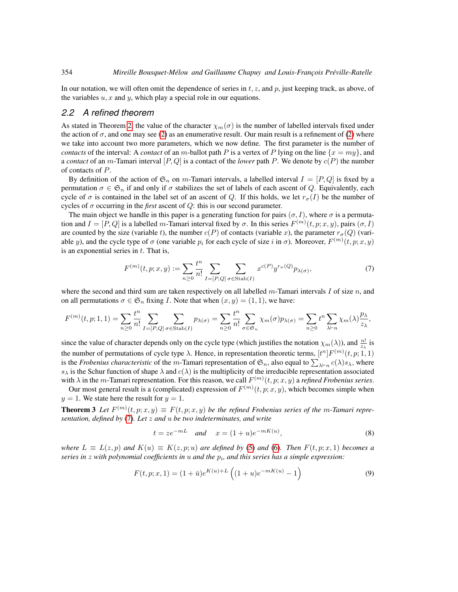In our notation, we will often omit the dependence of series in t, z, and p, just keeping track, as above, of the variables  $u, x$  and  $y$ , which play a special role in our equations.

#### *2.2 A refined theorem*

As stated in Theorem [2,](#page-2-3) the value of the character  $\chi_m(\sigma)$  is the number of labelled intervals fixed under the action of  $\sigma$ , and one may see [\(2\)](#page-2-4) as an enumerative result. Our main result is a refinement of (2) where we take into account two more parameters, which we now define. The first parameter is the number of *contacts* of the interval: A *contact* of an m-ballot path P is a vertex of P lying on the line  $\{x = my\}$ , and a *contact* of an m-Tamari interval  $[P,Q]$  is a contact of the *lower* path P. We denote by  $c(P)$  the number of contacts of P.

By definition of the action of  $\mathfrak{S}_n$  on m-Tamari intervals, a labelled interval  $I = [P, Q]$  is fixed by a permutation  $\sigma \in \mathfrak{S}_n$  if and only if  $\sigma$  stabilizes the set of labels of each ascent of Q. Equivalently, each cycle of  $\sigma$  is contained in the label set of an ascent of Q. If this holds, we let  $r_{\sigma}(I)$  be the number of cycles of  $\sigma$  occurring in the *first* ascent of  $Q$ : this is our second parameter.

The main object we handle in this paper is a generating function for pairs  $(\sigma, I)$ , where  $\sigma$  is a permutation and  $I = [P,Q]$  is a labelled m-Tamari interval fixed by  $\sigma$ . In this series  $F^{(m)}(t, p; x, y)$ , pairs  $(\sigma, I)$ are counted by the size (variable t), the number  $c(P)$  of contacts (variable x), the parameter  $r_{\sigma}(Q)$  (variable y), and the cycle type of  $\sigma$  (one variable  $p_i$  for each cycle of size i in  $\sigma$ ). Moreover,  $F^{(m)}(t, p; x, y)$ is an exponential series in  $t$ . That is,

<span id="page-5-0"></span>
$$
F^{(m)}(t, p; x, y) := \sum_{n \ge 0} \frac{t^n}{n!} \sum_{I = [P, Q]} \sum_{\sigma \in \text{Stab}(I)} x^{c(P)} y^{r_{\sigma}(Q)} p_{\lambda(\sigma)},
$$
(7)

where the second and third sum are taken respectively on all labelled  $m$ -Tamari intervals I of size  $n$ , and on all permutations  $\sigma \in \mathfrak{S}_n$  fixing *I*. Note that when  $(x, y) = (1, 1)$ , we have:

$$
F^{(m)}(t, p; 1, 1) = \sum_{n\geq 0} \frac{t^n}{n!} \sum_{I=[P,Q]} \sum_{\sigma \in \text{Stab}(I)} p_{\lambda(\sigma)} = \sum_{n\geq 0} \frac{t^n}{n!} \sum_{\sigma \in \mathfrak{S}_n} \chi_m(\sigma) p_{\lambda(\sigma)} = \sum_{n\geq 0} t^n \sum_{\lambda \vdash n} \chi_m(\lambda) \frac{p_{\lambda}}{z_{\lambda}},
$$

since the value of character depends only on the cycle type (which justifies the notation  $\chi_m(\lambda)$ ), and  $\frac{n!}{z_\lambda}$  is the number of permutations of cycle type  $\lambda$ . Hence, in representation theoretic terms,  $[t^n]F^{(m)}(t, p; 1, 1)$ is the *Frobenius characteristic* of the *m*-Tamari representation of  $\mathfrak{S}_n$ , also equal to  $\sum_{\lambda\vdash n} c(\lambda)s_\lambda$ , where  $s_{\lambda}$  is the Schur function of shape  $\lambda$  and  $c(\lambda)$  is the multiplicity of the irreducible representation associated with  $\lambda$  in the *m*-Tamari representation. For this reason, we call  $F^{(m)}(t, p; x, y)$  a *refined Frobenius series*.

Our most general result is a (complicated) expression of  $F^{(m)}(t, p; x, y)$ , which becomes simple when  $y = 1$ . We state here the result for  $y = 1$ .

**Theorem 3** Let  $F^{(m)}(t, p; x, y) \equiv F(t, p; x, y)$  be the refined Frobenius series of the m-Tamari repre*sentation, defined by* [\(7\)](#page-5-0)*. Let* z *and* u *be two indeterminates, and write*

<span id="page-5-3"></span><span id="page-5-2"></span><span id="page-5-1"></span>
$$
t = ze^{-mL} \quad and \quad x = (1+u)e^{-mK(u)}, \tag{8}
$$

*where*  $L \equiv L(z, p)$  *and*  $K(u) \equiv K(z, p; u)$  *are defined by* [\(5\)](#page-4-1) *and* [\(6\)](#page-4-1)*. Then*  $F(t, p; x, 1)$  *becomes a series in* z *with polynomial coefficients in* u *and the* p<sup>i</sup> *, and this series has a simple expression:*

$$
F(t, p; x, 1) = (1 + \bar{u})e^{K(u) + L} \left( (1 + u)e^{-m(u)} - 1 \right)
$$
\n(9)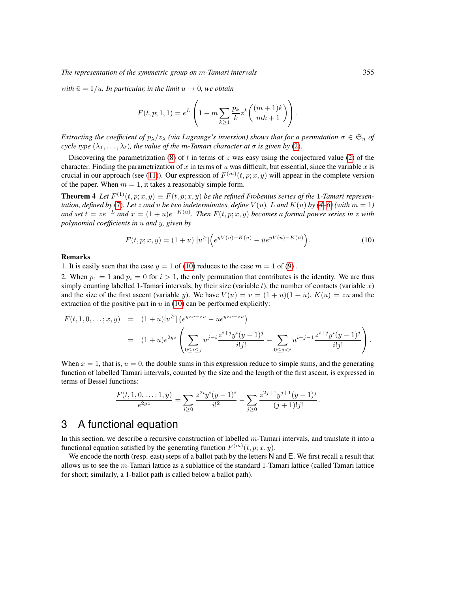*The representation of the symmetric group on* m*-Tamari intervals* 355

*with*  $\bar{u} = 1/u$ *. In particular, in the limit*  $u \rightarrow 0$ *, we obtain* 

$$
F(t, p; 1, 1) = e^{L} \left( 1 - m \sum_{k \ge 1} \frac{p_k}{k} z^k \binom{(m+1)k}{mk+1} \right).
$$

*Extracting the coefficient of*  $p_{\lambda}/z_{\lambda}$  *(via Lagrange's inversion) shows that for a permutation*  $\sigma \in \mathfrak{S}_n$  *of cycle type*  $(\lambda_1, \ldots, \lambda_\ell)$ *, the value of the m-Tamari character at*  $\sigma$  *is given by* [\(2\)](#page-2-4).

Discovering the parametrization [\(8\)](#page-5-1) of t in terms of z was easy using the conjectured value [\(2\)](#page-2-4) of the character. Finding the parametrization of x in terms of u was difficult, but essential, since the variable x is crucial in our approach (see [\(11\)](#page-7-2)). Our expression of  $F^{(m)}(t, p; x, y)$  will appear in the complete version of the paper. When  $m = 1$ , it takes a reasonably simple form.

**Theorem 4** Let  $F^{(1)}(t, p; x, y) \equiv F(t, p; x, y)$  be the refined Frobenius series of the 1-Tamari represen*tation, defined by* [\(7\)](#page-5-0)*. Let* z *and u be two indeterminates, define*  $V(u)$ *, L and*  $K(u)$  *by* [\(4–](#page-4-2)[6\)](#page-4-1) (with  $m = 1$ ) *and set*  $t = ze^{-L}$  *and*  $x = (1 + u)e^{-K(u)}$ . Then  $F(t, p; x, y)$  becomes a formal power series in z with *polynomial coefficients in* u *and* y*, given by*

<span id="page-6-2"></span><span id="page-6-1"></span>
$$
F(t, p; x, y) = (1 + u) [u2] \Big( e^{yV(u) - K(u)} - \bar{u}e^{yV(u) - K(\bar{u})} \Big). \tag{10}
$$

#### Remarks

1. It is easily seen that the case  $y = 1$  of [\(10\)](#page-6-1) reduces to the case  $m = 1$  of [\(9\)](#page-5-2).

2. When  $p_1 = 1$  and  $p_i = 0$  for  $i > 1$ , the only permutation that contributes is the identity. We are thus simply counting labelled 1-Tamari intervals, by their size (variable t), the number of contacts (variable x) and the size of the first ascent (variable y). We have  $V(u) = v = (1 + u)(1 + \bar{u})$ ,  $K(u) = zu$  and the extraction of the positive part in  $u$  in [\(10\)](#page-6-1) can be performed explicitly:

$$
F(t,1,0,\ldots;x,y) = (1+u)[u^{\geq}] \left( e^{yzv - zu} - \bar{u}e^{yzv - z\bar{u}} \right)
$$
  
= 
$$
(1+u)e^{2yz} \left( \sum_{0 \leq i \leq j} u^{j-i} \frac{z^{i+j}y^{i}(y-1)^{j}}{i!j!} - \sum_{0 \leq j < i} u^{i-j-1} \frac{z^{i+j}y^{i}(y-1)^{j}}{i!j!} \right).
$$

When  $x = 1$ , that is,  $u = 0$ , the double sums in this expression reduce to simple sums, and the generating function of labelled Tamari intervals, counted by the size and the length of the first ascent, is expressed in terms of Bessel functions:

$$
\frac{F(t,1,0,\ldots;1,y)}{e^{2yz}} = \sum_{i\geq 0} \frac{z^{2i}y^i(y-1)^i}{i!^2} - \sum_{j\geq 0} \frac{z^{2j+1}y^{j+1}(y-1)^j}{(j+1)!j!}.
$$

### <span id="page-6-0"></span>3 A functional equation

In this section, we describe a recursive construction of labelled m-Tamari intervals, and translate it into a functional equation satisfied by the generating function  $F^{(m)}(t, p; x, y)$ .

We encode the north (resp. east) steps of a ballot path by the letters N and E. We first recall a result that allows us to see the  $m$ -Tamari lattice as a sublattice of the standard 1-Tamari lattice (called Tamari lattice for short; similarly, a 1-ballot path is called below a ballot path).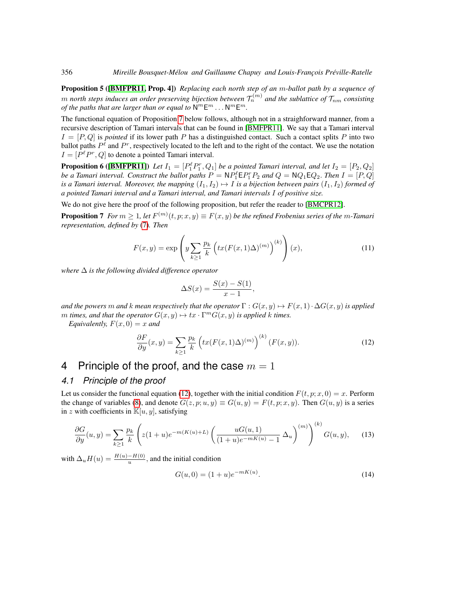Proposition 5 ([\[BMFPR11,](#page-11-1) Prop. 4]) *Replacing each north step of an* m*-ballot path by a sequence of*  $m$  *north steps induces an order preserving bijection between*  $\mathcal{T}_n^{(m)}$  and the sublattice of  $\mathcal{T}_{nm}$  consisting *of the paths that are larger than or equal to*  $N^mE^m \dots N^mE^m$ .

The functional equation of Proposition [7](#page-7-0) below follows, although not in a straighforward manner, from a recursive description of Tamari intervals that can be found in [\[BMFPR11\]](#page-11-1). We say that a Tamari interval  $I = [P, Q]$  is *pointed* if its lower path P has a distinguished contact. Such a contact splits P into two ballot paths  $P^{\ell}$  and  $P^r$ , respectively located to the left and to the right of the contact. We use the notation  $I = [P^{\ell}P^{r}, Q]$  to denote a pointed Tamari interval.

**Proposition 6** ([\[BMFPR11\]](#page-11-1)) Let  $I_1 = [P_1^{\ell} P_1^r, Q_1]$  be a pointed Tamari interval, and let  $I_2 = [P_2, Q_2]$ *be a Tamari interval. Construct the ballot paths*  $P = NP_1^{\ell}E P_1^r P_2$  and  $Q = NQ_1 E Q_2$ . *Then*  $I = [P, Q]$ *is a Tamari interval. Moreover, the mapping*  $(I_1, I_2) \mapsto I$  *is a bijection between pairs*  $(I_1, I_2)$  *formed of a pointed Tamari interval and a Tamari interval, and Tamari intervals* I *of positive size.*

We do not give here the proof of the following proposition, but refer the reader to [\[BMCPR12\]](#page-11-5).

**Proposition 7** For  $m \geq 1$ , let  $F^{(m)}(t, p; x, y) \equiv F(x, y)$  be the refined Frobenius series of the m-Tamari *representation, defined by* [\(7\)](#page-5-0)*. Then*

<span id="page-7-2"></span>
$$
F(x,y) = \exp\left(y \sum_{k\geq 1} \frac{p_k}{k} \left(tx(F(x,1)\Delta)^{(m)}\right)^{(k)}\right)(x),\tag{11}
$$

*where* ∆ *is the following divided difference operator*

<span id="page-7-0"></span>
$$
\Delta S(x) = \frac{S(x) - S(1)}{x - 1},
$$

*and the powers* m *and* k *mean respectively that the operator*  $\Gamma$  :  $G(x, y) \mapsto F(x, 1) \cdot \Delta G(x, y)$  *is applied*  $m$  *times, and that the operator*  $G(x, y) \mapsto tx \cdot \Gamma^m G(x, y)$  *is applied k times.* 

*Equivalently,*  $F(x, 0) = x$  *and* 

<span id="page-7-3"></span>
$$
\frac{\partial F}{\partial y}(x,y) = \sum_{k \ge 1} \frac{p_k}{k} \left( tx(F(x,1)\Delta)^{(m)} \right)^{(k)} (F(x,y)). \tag{12}
$$

### <span id="page-7-1"></span>4 Principle of the proof, and the case  $m=1$

#### <span id="page-7-6"></span>*4.1 Principle of the proof*

Let us consider the functional equation [\(12\)](#page-7-3), together with the initial condition  $F(t, p; x, 0) = x$ . Perform the change of variables [\(8\)](#page-5-1), and denote  $G(z, p; u, y) \equiv G(u, y) = F(t, p; x, y)$ . Then  $G(u, y)$  is a series in z with coefficients in  $\mathbb{K}[u, y]$ , satisfying

$$
\frac{\partial G}{\partial y}(u,y) = \sum_{k \ge 1} \frac{p_k}{k} \left( z(1+u)e^{-m(K(u)+L)} \left( \frac{uG(u,1)}{(1+u)e^{-mK(u)} - 1} \Delta_u \right)^{(m)} \right)^{(k)} G(u,y), \quad (13)
$$

with  $\Delta_u H(u) = \frac{H(u) - H(0)}{u}$ , and the initial condition

<span id="page-7-5"></span><span id="page-7-4"></span>
$$
G(u,0) = (1+u)e^{-mK(u)}.
$$
\n(14)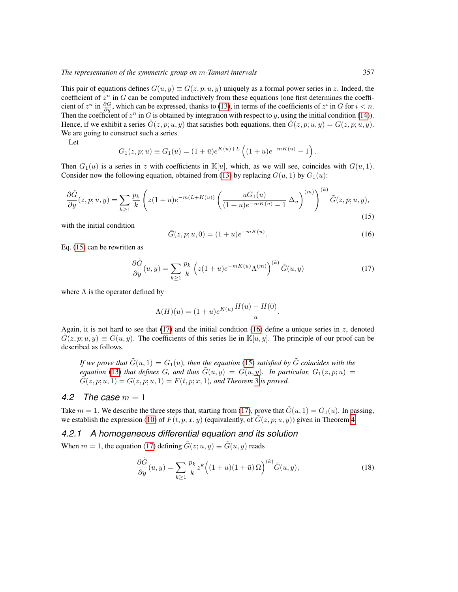This pair of equations defines  $G(u, y) \equiv G(z, p; u, y)$  uniquely as a formal power series in z. Indeed, the coefficient of  $z^n$  in G can be computed inductively from these equations (one first determines the coefficient of  $z^n$  in  $\frac{\partial G}{\partial y}$ , which can be expressed, thanks to [\(13\)](#page-7-4), in terms of the coefficients of  $z^i$  in  $G$  for  $i < n$ . Then the coefficient of  $z^n$  in G is obtained by integration with respect to y, using the initial condition [\(14\)](#page-7-5)). Hence, if we exhibit a series  $\tilde{G}(z, p; u, y)$  that satisfies both equations, then  $\tilde{G}(z, p; u, y) = G(z, p; u, y)$ . We are going to construct such a series.

Let

$$
G_1(z,p;u) \equiv G_1(u) = (1+\bar{u})e^{K(u)+L} \left( (1+u)e^{-mK(u)} - 1 \right).
$$

Then  $G_1(u)$  is a series in z with coefficients in  $\mathbb{K}[u]$ , which, as we will see, coincides with  $G(u, 1)$ . Consider now the following equation, obtained from [\(13\)](#page-7-4) by replacing  $G(u, 1)$  by  $G_1(u)$ :

$$
\frac{\partial \tilde{G}}{\partial y}(z, p; u, y) = \sum_{k \ge 1} \frac{p_k}{k} \left( z(1+u)e^{-m(L+K(u))} \left( \frac{uG_1(u)}{(1+u)e^{-mK(u)} - 1} \Delta_u \right)^{(m)} \right)^{(k)} \tilde{G}(z, p; u, y),\tag{15}
$$

with the initial condition

<span id="page-8-2"></span><span id="page-8-0"></span>
$$
\tilde{G}(z, p; u, 0) = (1 + u)e^{-mK(u)}.
$$
\n(16)

Eq. [\(15\)](#page-8-0) can be rewritten as

<span id="page-8-1"></span>
$$
\frac{\partial \tilde{G}}{\partial y}(u,y) = \sum_{k \ge 1} \frac{p_k}{k} \left( z(1+u)e^{-mK(u)} \Lambda^{(m)} \right)^{(k)} \tilde{G}(u,y) \tag{17}
$$

where  $\Lambda$  is the operator defined by

$$
\Lambda(H)(u) = (1+u)e^{K(u)} \frac{H(u) - H(0)}{u}.
$$

Again, it is not hard to see that  $(17)$  and the initial condition  $(16)$  define a unique series in z, denoted  $\tilde{G}(z, p; u, y) \equiv \tilde{G}(u, y)$ . The coefficients of this series lie in K[u, y]. The principle of our proof can be described as follows.

*If we prove that*  $\tilde{G}(u, 1) = G_1(u)$ *, then the equation* [\(15\)](#page-8-0) *satisfied by*  $\tilde{G}$  *coincides with the equation* [\(13\)](#page-7-4) *that defines* G, and *thus*  $\tilde{G}(u, y) = G(u, y)$ *. In particular,*  $G_1(z, p; u) =$  $G(z, p; u, 1) = G(z, p; u, 1) = F(t, p; x, 1)$ , and Theorem [3](#page-5-3) is proved.

#### <span id="page-8-4"></span>4.2 The case  $m = 1$

Take  $m = 1$ . We describe the three steps that, starting from [\(17\)](#page-8-1), prove that  $\tilde{G}(u, 1) = G_1(u)$ . In passing, we establish the expression [\(10\)](#page-6-1) of  $F(t, p; x, y)$  (equivalently, of  $\tilde{G}(z, p; u, y)$ ) given in Theorem [4.](#page-6-2)

#### *4.2.1 A homogeneous differential equation and its solution*

When  $m = 1$ , the equation [\(17\)](#page-8-1) defining  $\tilde{G}(z; u, y) \equiv \tilde{G}(u, y)$  reads

<span id="page-8-3"></span>
$$
\frac{\partial \tilde{G}}{\partial y}(u, y) = \sum_{k \ge 1} \frac{p_k}{k} z^k \left( (1+u)(1+\bar{u})\Omega \right)^{(k)} \tilde{G}(u, y),\tag{18}
$$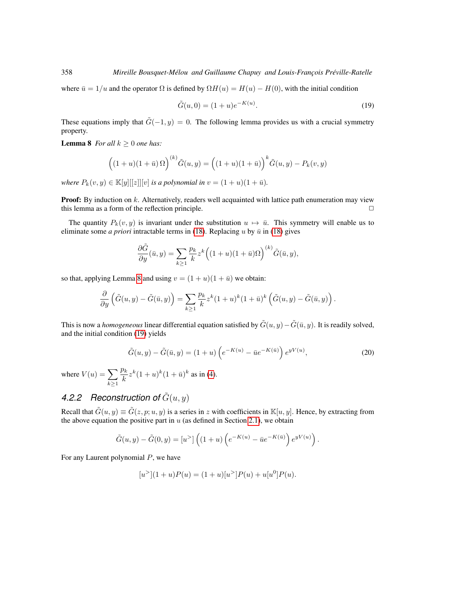where  $\bar{u} = 1/u$  and the operator  $\Omega$  is defined by  $\Omega H(u) = H(u) - H(0)$ , with the initial condition

<span id="page-9-1"></span>
$$
\tilde{G}(u,0) = (1+u)e^{-K(u)}.
$$
\n(19)

<span id="page-9-0"></span>These equations imply that  $\tilde{G}(-1, y) = 0$ . The following lemma provides us with a crucial symmetry property.

**Lemma 8** *For all*  $k \geq 0$  *one has:* 

$$
((1+u)(1+\bar{u})\Omega)^{(k)}\tilde{G}(u,y) = ((1+u)(1+\bar{u}))^{k}\tilde{G}(u,y) - P_k(v,y)
$$

*where*  $P_k(v, y) \in \mathbb{K}[y][[z]][v]$  *is a polynomial in*  $v = (1 + u)(1 + \bar{u})$ *.* 

**Proof:** By induction on  $k$ . Alternatively, readers well acquainted with lattice path enumeration may view this lemma as a form of the reflection principle.  $\Box$ 

The quantity  $P_k(v, y)$  is invariant under the substitution  $u \mapsto \bar{u}$ . This symmetry will enable us to eliminate some *a priori* intractable terms in [\(18\)](#page-8-3). Replacing u by  $\bar{u}$  in (18) gives

$$
\frac{\partial \tilde{G}}{\partial y}(\bar{u}, y) = \sum_{k \ge 1} \frac{p_k}{k} z^k \Big( (1 + u)(1 + \bar{u})\Omega \Big)^{(k)} \tilde{G}(\bar{u}, y),
$$

so that, applying Lemma [8](#page-9-0) and using  $v = (1 + u)(1 + \bar{u})$  we obtain:

$$
\frac{\partial}{\partial y}\left(\tilde{G}(u,y)-\tilde{G}(\bar{u},y)\right)=\sum_{k\geq 1}\frac{p_k}{k}z^k(1+u)^k(1+\bar{u})^k\left(\tilde{G}(u,y)-\tilde{G}(\bar{u},y)\right).
$$

This is now a *homogeneous* linear differential equation satisfied by  $\tilde{G}(u, y) - \tilde{G}(\bar{u}, y)$ . It is readily solved, and the initial condition [\(19\)](#page-9-1) yields

<span id="page-9-2"></span>
$$
\tilde{G}(u, y) - \tilde{G}(\bar{u}, y) = (1 + u) \left( e^{-K(u)} - \bar{u}e^{-K(\bar{u})} \right) e^{yV(u)}, \tag{20}
$$

where  $V(u) = \sum$  $k \geq 1$  $p_k$  $\frac{\partial k}{\partial k} z^k (1+u)^k (1+\bar{u})^k$  as in [\(4\)](#page-4-2).

### 4.2.2 Reconstruction of  $\tilde{G}(u, y)$

Recall that  $\tilde{G}(u, y) \equiv \tilde{G}(z, p; u, y)$  is a series in z with coefficients in  $\mathbb{K}[u, y]$ . Hence, by extracting from the above equation the positive part in  $u$  (as defined in Section [2.1\)](#page-4-3), we obtain

$$
\tilde{G}(u,y) - \tilde{G}(0,y) = [u^>] \left( (1+u) \left( e^{-K(u)} - \bar{u}e^{-K(\bar{u})} \right) e^{yV(u)} \right).
$$

For any Laurent polynomial  $P$ , we have

$$
[u^>[1+u]P(u) = (1+u)[u^>[P(u) + u[u^0]P(u)].
$$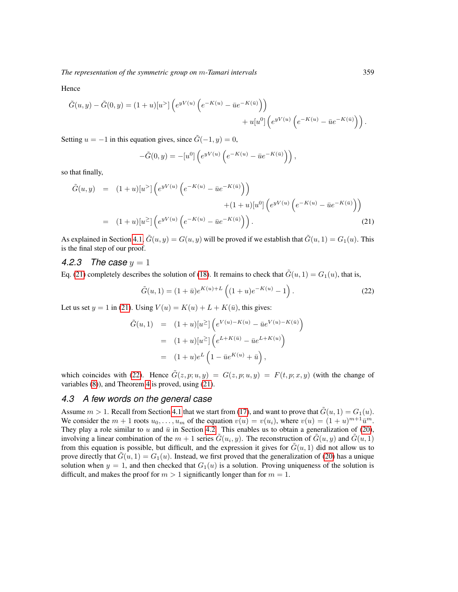Hence

$$
\tilde{G}(u,y) - \tilde{G}(0,y) = (1+u)[u^>] \left( e^{yV(u)} \left( e^{-K(u)} - \bar{u}e^{-K(\bar{u})} \right) \right) \n+ u[u^0] \left( e^{yV(u)} \left( e^{-K(u)} - \bar{u}e^{-K(\bar{u})} \right) \right).
$$

Setting  $u = -1$  in this equation gives, since  $\tilde{G}(-1, y) = 0$ ,

$$
-\tilde{G}(0,y) = -[u^0] \left( e^{yV(u)} \left( e^{-K(u)} - \bar{u}e^{-K(\bar{u})} \right) \right),
$$

so that finally,

<span id="page-10-0"></span>
$$
\tilde{G}(u, y) = (1+u)[u^{>}]\left(e^{yV(u)}\left(e^{-K(u)} - \bar{u}e^{-K(\bar{u})}\right)\right) \n+ (1+u)[u^{0}]\left(e^{yV(u)}\left(e^{-K(u)} - \bar{u}e^{-K(\bar{u})}\right)\right) \n= (1+u)[u^{>}]\left(e^{yV(u)}\left(e^{-K(u)} - \bar{u}e^{-K(\bar{u})}\right)\right).
$$
\n(21)

As explained in Section [4.1,](#page-7-6)  $\tilde{G}(u, y) = G(u, y)$  will be proved if we establish that  $\tilde{G}(u, 1) = G_1(u)$ . This is the final step of our proof.

#### *4.2.3 The case* y = 1

Eq. [\(21\)](#page-10-0) completely describes the solution of [\(18\)](#page-8-3). It remains to check that  $\tilde{G}(u, 1) = G_1(u)$ , that is,

<span id="page-10-1"></span>
$$
\tilde{G}(u,1) = (1+\bar{u})e^{K(u)+L}\left((1+u)e^{-K(u)}-1\right).
$$
\n(22)

Let us set  $y = 1$  in [\(21\)](#page-10-0). Using  $V(u) = K(u) + L + K(\bar{u})$ , this gives:

$$
\tilde{G}(u,1) = (1+u)[u^{\geq}] \left( e^{V(u)-K(u)} - \bar{u}e^{V(u)-K(\bar{u})} \right)
$$
  
\n
$$
= (1+u)[u^{\geq}] \left( e^{L+K(\bar{u})} - \bar{u}e^{L+K(u)} \right)
$$
  
\n
$$
= (1+u)e^{L} \left( 1 - \bar{u}e^{K(u)} + \bar{u} \right),
$$

which coincides with [\(22\)](#page-10-1). Hence  $\tilde{G}(z, p; u, y) = G(z, p; u, y) = F(t, p; x, y)$  (with the change of variables [\(8\)](#page-5-1)), and Theorem [4](#page-6-2) is proved, using [\(21\)](#page-10-0).

### *4.3 A few words on the general case*

Assume  $m > 1$ . Recall from Section [4.1](#page-7-6) that we start from [\(17\)](#page-8-1), and want to prove that  $\tilde{G}(u, 1) = G_1(u)$ . We consider the  $m + 1$  roots  $u_0, \ldots, u_m$  of the equation  $v(u) = v(u_i)$ , where  $v(u) = (1 + u)^{m+1} \bar{u}^m$ . They play a role similar to u and  $\bar{u}$  in Section [4.2.](#page-8-4) This enables us to obtain a generalization of [\(20\)](#page-9-2), involving a linear combination of the  $m + 1$  series  $\tilde{G}(u_i, y)$ . The reconstruction of  $\tilde{G}(u, y)$  and  $\tilde{G}(u, 1)$ from this equation is possible, but difficult, and the expression it gives for  $\tilde{G}(u, 1)$  did not allow us to prove directly that  $\tilde{G}(u, 1) = G_1(u)$ . Instead, we first proved that the generalization of [\(20\)](#page-9-2) has a unique solution when  $y = 1$ , and then checked that  $G_1(u)$  is a solution. Proving uniqueness of the solution is difficult, and makes the proof for  $m > 1$  significantly longer than for  $m = 1$ .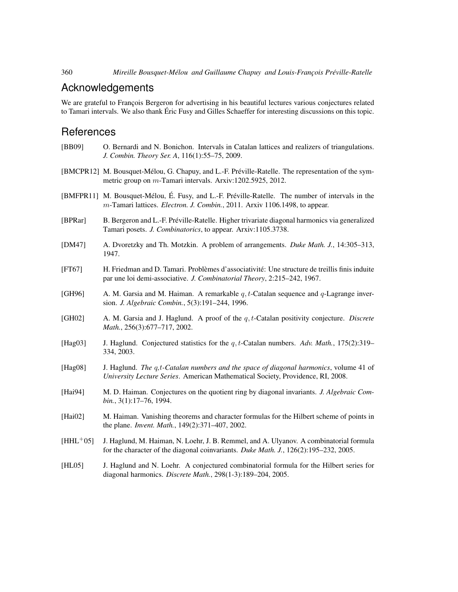### Acknowledgements

We are grateful to Francois Bergeron for advertising in his beautiful lectures various conjectures related to Tamari intervals. We also thank Eric Fusy and Gilles Schaeffer for interesting discussions on this topic. ´

### **References**

- <span id="page-11-2"></span>[BB09] O. Bernardi and N. Bonichon. Intervals in Catalan lattices and realizers of triangulations. *J. Combin. Theory Ser. A*, 116(1):55–75, 2009.
- <span id="page-11-5"></span>[BMCPR12] M. Bousquet-Mélou, G. Chapuy, and L.-F. Préville-Ratelle. The representation of the symmetric group on m-Tamari intervals. Arxiv:1202.5925, 2012.
- <span id="page-11-1"></span>[BMFPR11] M. Bousquet-Mélou, É. Fusy, and L.-F. Préville-Ratelle. The number of intervals in the m-Tamari lattices. *Electron. J. Combin.*, 2011. Arxiv 1106.1498, to appear.
- <span id="page-11-4"></span>[BPRar] B. Bergeron and L.-F. Preville-Ratelle. Higher trivariate diagonal harmonics via generalized ´ Tamari posets. *J. Combinatorics*, to appear. Arxiv:1105.3738.
- <span id="page-11-0"></span>[DM47] A. Dvoretzky and Th. Motzkin. A problem of arrangements. *Duke Math. J.*, 14:305–313, 1947.
- <span id="page-11-3"></span>[FT67] H. Friedman and D. Tamari. Problèmes d'associativité: Une structure de treillis finis induite par une loi demi-associative. *J. Combinatorial Theory*, 2:215–242, 1967.
- <span id="page-11-12"></span>[GH96] A. M. Garsia and M. Haiman. A remarkable  $q, t$ -Catalan sequence and  $q$ -Lagrange inversion. *J. Algebraic Combin.*, 5(3):191–244, 1996.
- <span id="page-11-6"></span>[GH02] A. M. Garsia and J. Haglund. A proof of the q, t-Catalan positivity conjecture. *Discrete Math.*, 256(3):677–717, 2002.
- <span id="page-11-7"></span>[Hag03] J. Haglund. Conjectured statistics for the q, t-Catalan numbers. *Adv. Math.*, 175(2):319– 334, 2003.
- <span id="page-11-8"></span>[Hag08] J. Haglund. *The* q*,*t*-Catalan numbers and the space of diagonal harmonics*, volume 41 of *University Lecture Series*. American Mathematical Society, Providence, RI, 2008.
- <span id="page-11-10"></span>[Hai94] M. D. Haiman. Conjectures on the quotient ring by diagonal invariants. *J. Algebraic Combin.*, 3(1):17–76, 1994.
- <span id="page-11-11"></span>[Hai02] M. Haiman. Vanishing theorems and character formulas for the Hilbert scheme of points in the plane. *Invent. Math.*, 149(2):371–407, 2002.
- <span id="page-11-13"></span>[HHL<sup>+</sup>05] J. Haglund, M. Haiman, N. Loehr, J. B. Remmel, and A. Ulyanov. A combinatorial formula for the character of the diagonal coinvariants. *Duke Math. J.*, 126(2):195–232, 2005.
- <span id="page-11-9"></span>[HL05] J. Haglund and N. Loehr. A conjectured combinatorial formula for the Hilbert series for diagonal harmonics. *Discrete Math.*, 298(1-3):189–204, 2005.